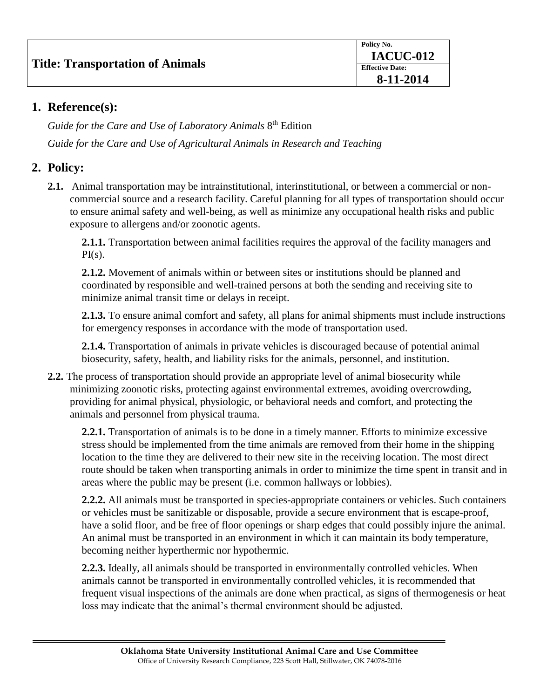## **1. Reference(s):**

Guide for the Care and Use of Laboratory Animals 8<sup>th</sup> Edition *Guide for the Care and Use of Agricultural Animals in Research and Teaching*

## **2. Policy:**

**2.1.** Animal transportation may be intrainstitutional, interinstitutional, or between a commercial or noncommercial source and a research facility. Careful planning for all types of transportation should occur to ensure animal safety and well-being, as well as minimize any occupational health risks and public exposure to allergens and/or zoonotic agents.

**2.1.1.** Transportation between animal facilities requires the approval of the facility managers and  $PI(s)$ .

**2.1.2.** Movement of animals within or between sites or institutions should be planned and coordinated by responsible and well-trained persons at both the sending and receiving site to minimize animal transit time or delays in receipt.

**2.1.3.** To ensure animal comfort and safety, all plans for animal shipments must include instructions for emergency responses in accordance with the mode of transportation used.

**2.1.4.** Transportation of animals in private vehicles is discouraged because of potential animal biosecurity, safety, health, and liability risks for the animals, personnel, and institution.

**2.2.** The process of transportation should provide an appropriate level of animal biosecurity while minimizing zoonotic risks, protecting against environmental extremes, avoiding overcrowding, providing for animal physical, physiologic, or behavioral needs and comfort, and protecting the animals and personnel from physical trauma.

**2.2.1.** Transportation of animals is to be done in a timely manner. Efforts to minimize excessive stress should be implemented from the time animals are removed from their home in the shipping location to the time they are delivered to their new site in the receiving location. The most direct route should be taken when transporting animals in order to minimize the time spent in transit and in areas where the public may be present (i.e. common hallways or lobbies).

**2.2.2.** All animals must be transported in species-appropriate containers or vehicles. Such containers or vehicles must be sanitizable or disposable, provide a secure environment that is escape-proof, have a solid floor, and be free of floor openings or sharp edges that could possibly injure the animal. An animal must be transported in an environment in which it can maintain its body temperature, becoming neither hyperthermic nor hypothermic.

**2.2.3.** Ideally, all animals should be transported in environmentally controlled vehicles. When animals cannot be transported in environmentally controlled vehicles, it is recommended that frequent visual inspections of the animals are done when practical, as signs of thermogenesis or heat loss may indicate that the animal's thermal environment should be adjusted.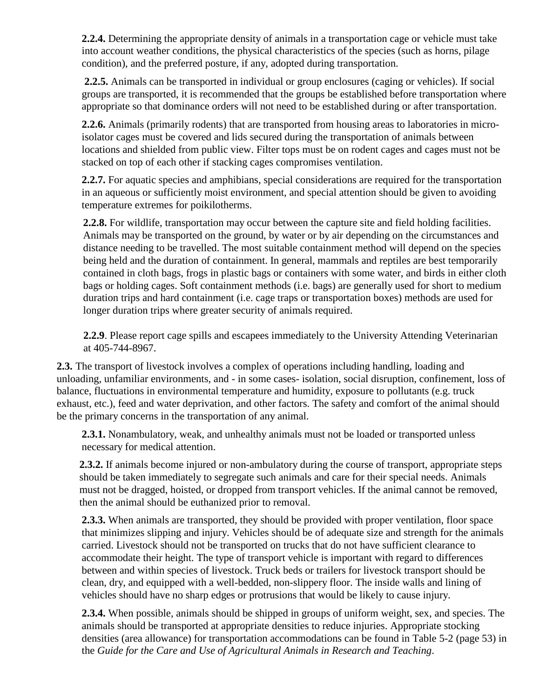**2.2.4.** Determining the appropriate density of animals in a transportation cage or vehicle must take into account weather conditions, the physical characteristics of the species (such as horns, pilage condition), and the preferred posture, if any, adopted during transportation.

**2.2.5.** Animals can be transported in individual or group enclosures (caging or vehicles). If social groups are transported, it is recommended that the groups be established before transportation where appropriate so that dominance orders will not need to be established during or after transportation.

**2.2.6.** Animals (primarily rodents) that are transported from housing areas to laboratories in microisolator cages must be covered and lids secured during the transportation of animals between locations and shielded from public view. Filter tops must be on rodent cages and cages must not be stacked on top of each other if stacking cages compromises ventilation.

**2.2.7.** For aquatic species and amphibians, special considerations are required for the transportation in an aqueous or sufficiently moist environment, and special attention should be given to avoiding temperature extremes for poikilotherms.

**2.2.8.** For wildlife, transportation may occur between the capture site and field holding facilities. Animals may be transported on the ground, by water or by air depending on the circumstances and distance needing to be travelled. The most suitable containment method will depend on the species being held and the duration of containment. In general, mammals and reptiles are best temporarily contained in cloth bags, frogs in plastic bags or containers with some water, and birds in either cloth bags or holding cages. Soft containment methods (i.e. bags) are generally used for short to medium duration trips and hard containment (i.e. cage traps or transportation boxes) methods are used for longer duration trips where greater security of animals required.

**2.2.9**. Please report cage spills and escapees immediately to the University Attending Veterinarian at 405-744-8967.

**2.3.** The transport of livestock involves a complex of operations including handling, loading and unloading, unfamiliar environments, and - in some cases- isolation, social disruption, confinement, loss of balance, fluctuations in environmental temperature and humidity, exposure to pollutants (e.g. truck exhaust, etc.), feed and water deprivation, and other factors. The safety and comfort of the animal should be the primary concerns in the transportation of any animal.

**2.3.1.** Nonambulatory, weak, and unhealthy animals must not be loaded or transported unless necessary for medical attention.

**2.3.2.** If animals become injured or non-ambulatory during the course of transport, appropriate steps should be taken immediately to segregate such animals and care for their special needs. Animals must not be dragged, hoisted, or dropped from transport vehicles. If the animal cannot be removed, then the animal should be euthanized prior to removal.

**2.3.3.** When animals are transported, they should be provided with proper ventilation, floor space that minimizes slipping and injury. Vehicles should be of adequate size and strength for the animals carried. Livestock should not be transported on trucks that do not have sufficient clearance to accommodate their height. The type of transport vehicle is important with regard to differences between and within species of livestock. Truck beds or trailers for livestock transport should be clean, dry, and equipped with a well-bedded, non-slippery floor. The inside walls and lining of vehicles should have no sharp edges or protrusions that would be likely to cause injury.

**2.3.4.** When possible, animals should be shipped in groups of uniform weight, sex, and species. The animals should be transported at appropriate densities to reduce injuries. Appropriate stocking densities (area allowance) for transportation accommodations can be found in Table 5-2 (page 53) in the *Guide for the Care and Use of Agricultural Animals in Research and Teaching*.